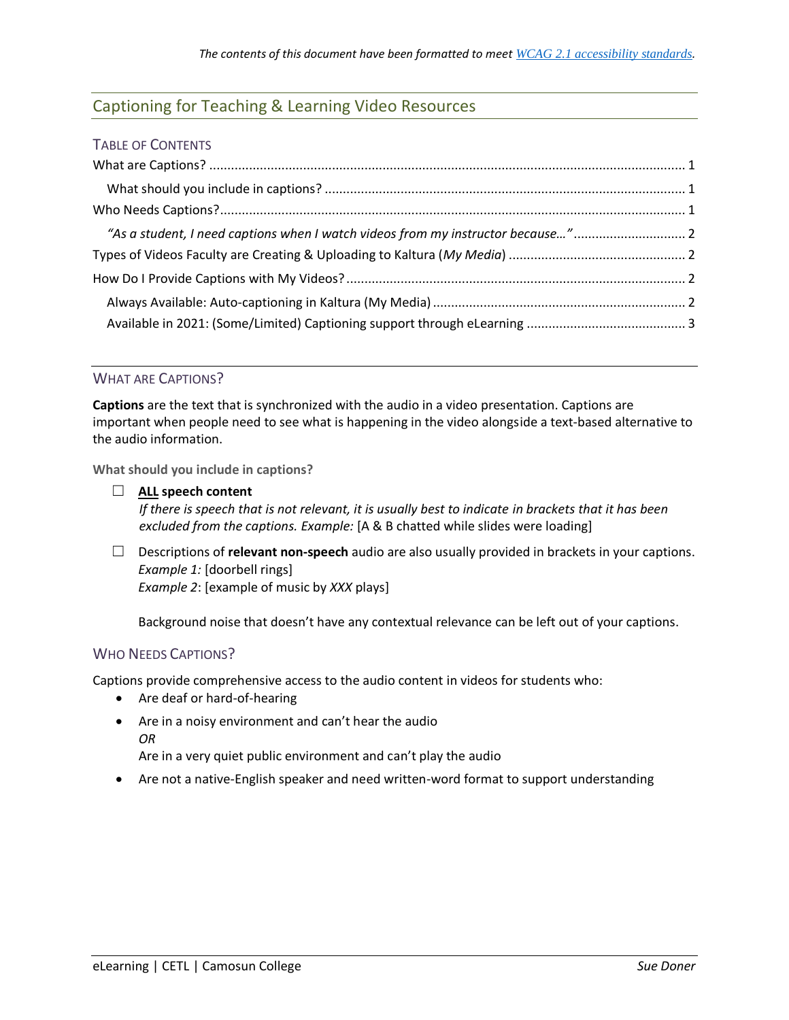## Captioning for Teaching & Learning Video Resources

| "As a student, I need captions when I watch videos from my instructor because" |  |
|--------------------------------------------------------------------------------|--|
|                                                                                |  |
|                                                                                |  |
|                                                                                |  |
|                                                                                |  |

## <span id="page-0-0"></span>WHAT ARE CAPTIONS?

**Captions** are the text that is synchronized with the audio in a video presentation. Captions are important when people need to see what is happening in the video alongside a text-based alternative to the audio information.

<span id="page-0-1"></span>**What should you include in captions?**

- ☐ **ALL speech content** *If there is speech that is not relevant, it is usually best to indicate in brackets that it has been excluded from the captions. Example:* [A & B chatted while slides were loading]
- ☐ Descriptions of **relevant non-speech** audio are also usually provided in brackets in your captions. *Example 1:* [doorbell rings] *Example 2*: [example of music by *XXX* plays]

Background noise that doesn't have any contextual relevance can be left out of your captions.

## <span id="page-0-2"></span>WHO NEEDS CAPTIONS?

Captions provide comprehensive access to the audio content in videos for students who:

- Are deaf or hard-of-hearing
- Are in a noisy environment and can't hear the audio *OR*

Are in a very quiet public environment and can't play the audio

Are not a native-English speaker and need written-word format to support understanding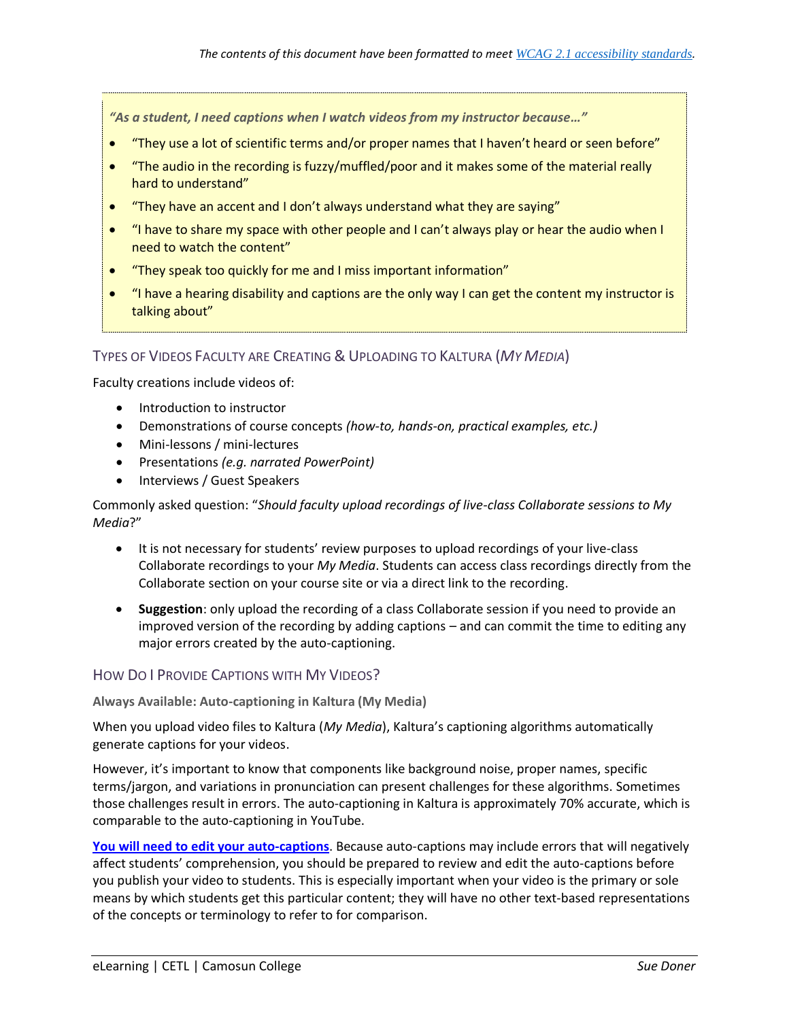<span id="page-1-0"></span>*"As a student, I need captions when I watch videos from my instructor because…"*

- "They use a lot of scientific terms and/or proper names that I haven't heard or seen before"
- "The audio in the recording is fuzzy/muffled/poor and it makes some of the material really hard to understand"
- "They have an accent and I don't always understand what they are saying"
- "I have to share my space with other people and I can't always play or hear the audio when I need to watch the content"
- "They speak too quickly for me and I miss important information"
- "I have a hearing disability and captions are the only way I can get the content my instructor is talking about"

<span id="page-1-1"></span>TYPES OF VIDEOS FACULTY ARE CREATING &UPLOADING TO KALTURA (*MY MEDIA*)

Faculty creations include videos of:

- Introduction to instructor
- Demonstrations of course concepts *(how-to, hands-on, practical examples, etc.)*
- Mini-lessons / mini-lectures
- Presentations *(e.g. narrated PowerPoint)*
- Interviews / Guest Speakers

Commonly asked question: "*Should faculty upload recordings of live-class Collaborate sessions to My Media*?"

- It is not necessary for students' review purposes to upload recordings of your live-class Collaborate recordings to your *My Media*. Students can access class recordings directly from the Collaborate section on your course site or via a direct link to the recording.
- **Suggestion**: only upload the recording of a class Collaborate session if you need to provide an improved version of the recording by adding captions – and can commit the time to editing any major errors created by the auto-captioning.

<span id="page-1-2"></span>HOW DO I PROVIDE CAPTIONS WITH MY VIDEOS?

<span id="page-1-3"></span>**Always Available: Auto-captioning in Kaltura (My Media)**

When you upload video files to Kaltura (*My Media*), Kaltura's captioning algorithms automatically generate captions for your videos.

However, it's important to know that components like background noise, proper names, specific terms/jargon, and variations in pronunciation can present challenges for these algorithms. Sometimes those challenges result in errors. The auto-captioning in Kaltura is approximately 70% accurate, which is comparable to the auto-captioning in YouTube.

**[You will need to edit your auto-captions](https://elearningtutorialscamosun.opened.ca/wp-content/uploads/sites/1304/2020/09/EditingCCInKaltura-D2L-Sept2020.pdf)**. Because auto-captions may include errors that will negatively affect students' comprehension, you should be prepared to review and edit the auto-captions before you publish your video to students. This is especially important when your video is the primary or sole means by which students get this particular content; they will have no other text-based representations of the concepts or terminology to refer to for comparison.